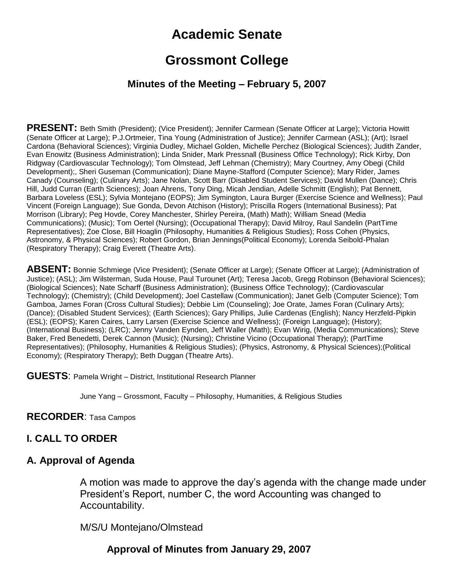# **Academic Senate**

# **Grossmont College**

#### **Minutes of the Meeting – February 5, 2007**

**PRESENT:** Beth Smith (President); (Vice President); Jennifer Carmean (Senate Officer at Large); Victoria Howitt (Senate Officer at Large); P.J.Ortmeier, Tina Young (Administration of Justice); Jennifer Carmean (ASL); (Art); Israel Cardona (Behavioral Sciences); Virginia Dudley, Michael Golden, Michelle Perchez (Biological Sciences); Judith Zander, Evan Enowitz (Business Administration); Linda Snider, Mark Pressnall (Business Office Technology); Rick Kirby, Don Ridgway (Cardiovascular Technology); Tom Olmstead, Jeff Lehman (Chemistry); Mary Courtney, Amy Obegi (Child Development);, Sheri Guseman (Communication); Diane Mayne-Stafford (Computer Science); Mary Rider, James Canady (Counseling); (Culinary Arts); Jane Nolan, Scott Barr (Disabled Student Services); David Mullen (Dance); Chris Hill, Judd Curran (Earth Sciences); Joan Ahrens, Tony Ding, Micah Jendian, Adelle Schmitt (English); Pat Bennett, Barbara Loveless (ESL); Sylvia Montejano (EOPS); Jim Symington, Laura Burger (Exercise Science and Wellness); Paul Vincent (Foreign Language); Sue Gonda, Devon Atchison (History); Priscilla Rogers (International Business); Pat Morrison (Library); Peg Hovde, Corey Manchester, Shirley Pereira, (Math) Math); William Snead (Media Communications); (Music); Tom Oertel (Nursing); (Occupational Therapy); David Milroy, Raul Sandelin (PartTime Representatives); Zoe Close, Bill Hoaglin (Philosophy, Humanities & Religious Studies); Ross Cohen (Physics, Astronomy, & Physical Sciences); Robert Gordon, Brian Jennings(Political Economy); Lorenda Seibold-Phalan (Respiratory Therapy); Craig Everett (Theatre Arts).

**ABSENT:** Bonnie Schmiege (Vice President); (Senate Officer at Large); (Senate Officer at Large); (Administration of Justice); (ASL); Jim Wilsterman, Suda House, Paul Turounet (Art); Teresa Jacob, Gregg Robinson (Behavioral Sciences); (Biological Sciences); Nate Scharff (Business Administration); (Business Office Technology); (Cardiovascular Technology); (Chemistry); (Child Development); Joel Castellaw (Communication); Janet Gelb (Computer Science); Tom Gamboa, James Foran (Cross Cultural Studies); Debbie Lim (Counseling); Joe Orate, James Foran (Culinary Arts); (Dance); (Disabled Student Services); (Earth Sciences); Gary Phillips, Julie Cardenas (English); Nancy Herzfeld-Pipkin (ESL); (EOPS); Karen Caires, Larry Larsen (Exercise Science and Wellness); (Foreign Language); (History); (International Business); (LRC); Jenny Vanden Eynden, Jeff Waller (Math); Evan Wirig, (Media Communications); Steve Baker, Fred Benedetti, Derek Cannon (Music); (Nursing); Christine Vicino (Occupational Therapy); (PartTime Representatives); (Philosophy, Humanities & Religious Studies); (Physics, Astronomy, & Physical Sciences);(Political Economy); (Respiratory Therapy); Beth Duggan (Theatre Arts).

**GUESTS**: Pamela Wright – District, Institutional Research Planner

June Yang – Grossmont, Faculty – Philosophy, Humanities, & Religious Studies

#### **RECORDER**: Tasa Campos

### **I. CALL TO ORDER**

#### **A. Approval of Agenda**

A motion was made to approve the day's agenda with the change made under President's Report, number C, the word Accounting was changed to Accountability.

M/S/U Montejano/Olmstead

### **Approval of Minutes from January 29, 2007**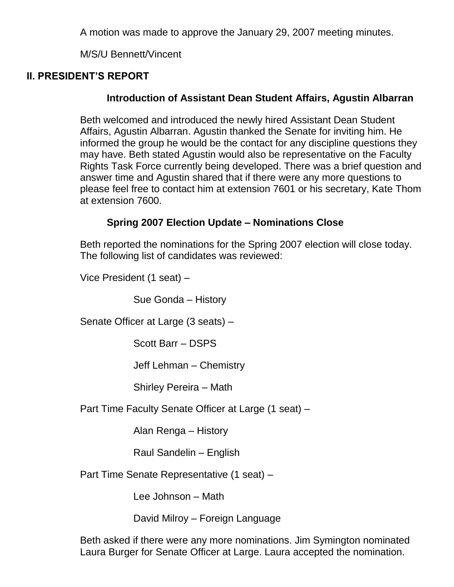A motion was made to approve the January 29, 2007 meeting minutes.

M/S/U Bennett/Vincent

## **II. PRESIDENT'S REPORT**

## **Introduction of Assistant Dean Student Affairs, Agustin Albarran**

Beth welcomed and introduced the newly hired Assistant Dean Student Affairs, Agustin Albarran. Agustin thanked the Senate for inviting him. He informed the group he would be the contact for any discipline questions they may have. Beth stated Agustin would also be representative on the Faculty Rights Task Force currently being developed. There was a brief question and answer time and Agustin shared that if there were any more questions to please feel free to contact him at extension 7601 or his secretary, Kate Thom at extension 7600.

## **Spring 2007 Election Update – Nominations Close**

Beth reported the nominations for the Spring 2007 election will close today. The following list of candidates was reviewed:

Vice President (1 seat) –

Sue Gonda – History

Senate Officer at Large (3 seats) –

Scott Barr – DSPS

Jeff Lehman – Chemistry

Shirley Pereira – Math

Part Time Faculty Senate Officer at Large (1 seat) –

Alan Renga – History

Raul Sandelin – English

Part Time Senate Representative (1 seat) –

Lee Johnson – Math

David Milroy – Foreign Language

Beth asked if there were any more nominations. Jim Symington nominated Laura Burger for Senate Officer at Large. Laura accepted the nomination.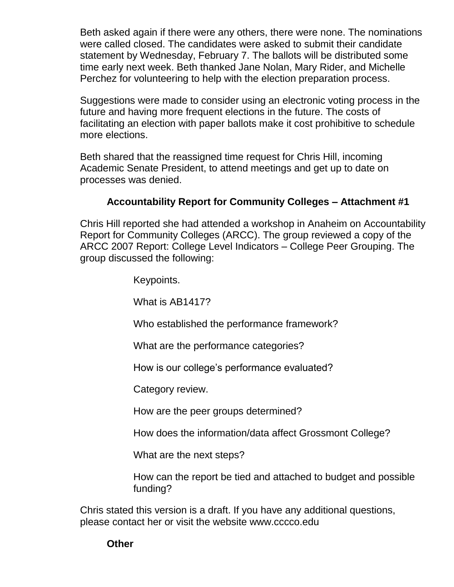Beth asked again if there were any others, there were none. The nominations were called closed. The candidates were asked to submit their candidate statement by Wednesday, February 7. The ballots will be distributed some time early next week. Beth thanked Jane Nolan, Mary Rider, and Michelle Perchez for volunteering to help with the election preparation process.

Suggestions were made to consider using an electronic voting process in the future and having more frequent elections in the future. The costs of facilitating an election with paper ballots make it cost prohibitive to schedule more elections.

Beth shared that the reassigned time request for Chris Hill, incoming Academic Senate President, to attend meetings and get up to date on processes was denied.

### **Accountability Report for Community Colleges – Attachment #1**

Chris Hill reported she had attended a workshop in Anaheim on Accountability Report for Community Colleges (ARCC). The group reviewed a copy of the ARCC 2007 Report: College Level Indicators – College Peer Grouping. The group discussed the following:

Keypoints.

What is AB1417?

Who established the performance framework?

What are the performance categories?

How is our college's performance evaluated?

Category review.

How are the peer groups determined?

How does the information/data affect Grossmont College?

What are the next steps?

How can the report be tied and attached to budget and possible funding?

Chris stated this version is a draft. If you have any additional questions, please contact her or visit the website www.cccco.edu

### **Other**